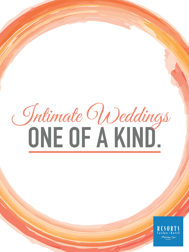# Jntimate Weddings

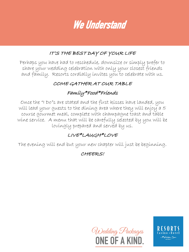We Understand

### IT'S THE BEST DAY OF YOUR LIFE

Perhaps you have had to reschedule, downsize or simply prefer to share your wedding celebration with only your closest friends and family. Resorts cordially invites you to celebrate with us.

### COME GATHER AT OUR TABLE

### Family\*Food\*Friends

Once the "I Do"s are stated and the first kisses have landed, you will lead your guests to the dining area where they will enjoy a 5 course gourmet meal, complete with champagne toast and table wine service. A menu that will be carefully selected by you will be lovingly prepared and served by us.

### LIVE\*LAUGH\*LOVE

The evening will end but your new chapter will just be beginning.

CHEERS!



RESOR A Mohegan Sun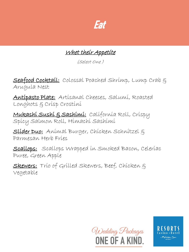

Whet their Appetite

(Select One )

<u>Seafood Cocktail:</u> Colossal Poached Shrimp, Lump Crab  $\xi$ Arugula Nest

Antipasto Plate: Artisanal Cheeses, Salumi, Roasted Longhots & Crisp Crostini

Mukashi Sushi & Sashimi: California Roll, Crispy Spicy Salmon Roll, Himachi Sashimi

Slider Duo: Animal Burger, Chicken Schnitzel & Parmesan Herb Fries

Scallops: Scallops Wrapped in Smoked Bacon, Celeríac Puree, Green Apple

Skewers: Trio of Grilled Skewers, Beef, Chicken g Vegetable



A Mohegan Sur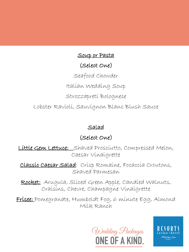## Soup or Pasta (Select One) Seafood Chowder Italian Wedding Soup Strozzapreti Bolognese Lobster Ravioli, Sauvignon Blanc Blush Sauce

### Salad

### (Select One)

Little Gem Lettuce: Shaved Prosciutto, Compressed Melon, Caesar Vinaigrette

Classic Caesar Salad: Crisp Romaine, Focaccia Croutons, Shaved Parmesan

Rocket: Arugula, Slíced Green Apple, Candíed Walnuts, Craisins, Chevre, Champagne Vinaigrette

Frisee: Pomegranate, Humboldt Fog, 6 minute Egg, Almond Milk Ranch

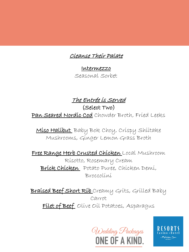### Cleanse Their Palate

Intermezzo Seasonal Sorbet

### The Entrée is Served

(Select Two)

Pan Seared Nordic Cod Chowder Broth, Fried Leeks

Miso Halibut Baby Bok Choy, Crispy Shiitake Mushrooms, Ginger Lemon Grass Broth

Free Range Herb Crusted Chicken Local Mushroom Risotto, Rosemary Cream Brick Chicken Potato Puree, Chicken Demi, Broccolini

Braised Beef Short Rib Creamy Grits, Grilled Baby Carrot Filet of Beef Olive Oil Potatoes, Asparagus

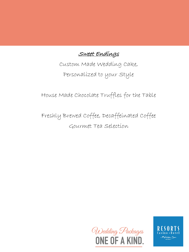Sweet Endings

Custom Made Wedding Cake, Personalized to your Style

House Made Chocolate Truffles for the Table

Freshly Brewed Coffee, Decaffeinated Coffee Gourmet Tea Selection



A Mohegan Su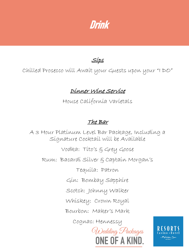Drink

<u>Síps</u>

Chilled Prosecco will Await your Guests upon your "I DO"

### Dinner Wine Service

House California Varietals

### The Bar

A 3 Hour Platinum Level Bar Package, Including a Signature Cocktail will be Available

Vodka: Tito's & Grey Goose

Rum: Bacardi Silver & Captain Morgan's

Tequila: Patron

Gin: Bombay Sapphire

Scotch: Johnny Walker

Whiskey: Crown Royal

Bourbon: Maker's Mark

Cognac: Hennessy

Wedding Packages ONE OF A KIND.

Mohegan Sur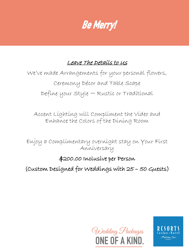# Be Merry!

### Leave The Details to Us

We've made Arrangements for your personal flowers, Ceremony Décor and Table Scape Define your Style ~ Rustic or Traditional

Accent Lighting will Compliment the Video and Enhance the Colors of the Dining Room

Enjoy a Complimentary overnight stay on Your First Anniversary

### \$200.00 Inclusive per Person

(Custom Designed for Weddings with 25 – 50 Guests)



A Mohegan Sur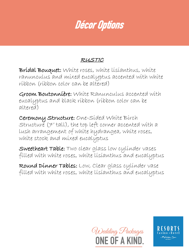# Décor Options

### RUSTIC

Bridal Bouquet: White roses, white lisianthus, white ranunculus and mixed eucalyptus accented with white ribbon (ribbon color can be altered)

Groom Boutonnière: White Ranunculus accented with eucalyptus and black ribbon (ribbon color can be altered)

Ceremony Structure: One-Sided White Birch Structure (7' tall), the top left corner accented with a lush arrangement of white hydrangea, white roses, white stock and mixed eucalyptus

Sweetheart Table: Two clear glass low cylinder vases filled with white roses, white lisianthus and eucalyptus

Round Dinner Tables: Low, Clear glass cylinder vase filled with white roses, white lisianthus and eucalyptus

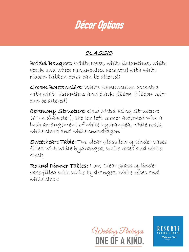# Décor Options

### CLASSIC

Bridal Bouquet: White roses, white lisianthus, white stock and white ranunculus accented with white ribbon (ribbon color can be altered)

Groom Boutonnière: White Ranunculus accented with white lisianthus and black ribbon (ribbon color can be altered)

Ceremony Structure: Gold Metal Ring Structure (6' in diameter), the top left corner accented with a lush arrangement of white hydrangea, white roses, white stock and white snapdragon

Sweetheart Table: Two clear glass low cylinder vases filled with white hydrangea, white roses and white stock.

Round Dinner Tables: Low, Clear glass cylinder vase filled with white hydrangea, white roses and white stock